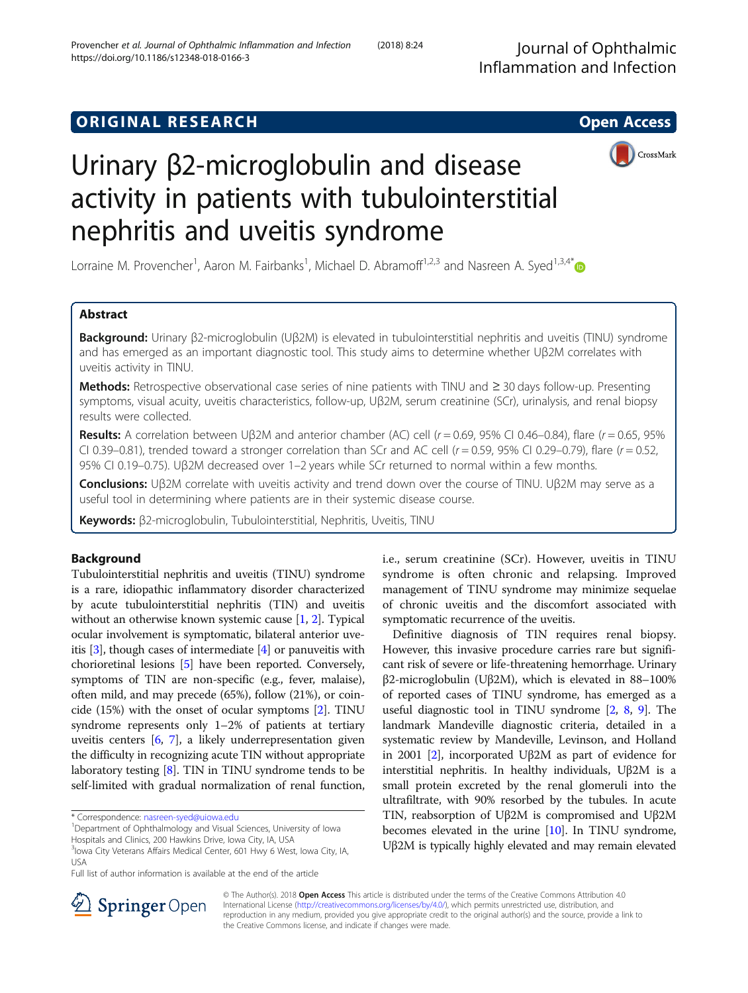Journal of Ophthalmic Inflammation and Infection

# **ORIGINAL RESEARCH CONSUMING ACCESS**



# Urinary β2-microglobulin and disease activity in patients with tubulointerstitial nephritis and uveitis syndrome

Lorraine M. Provencher<sup>1</sup>, Aaron M. Fairbanks<sup>1</sup>, Michael D. Abramoff<sup>1,2,3</sup> and Nasreen A. Syed<sup>1,3,4\*</sup>

# Abstract

Background: Urinary β2-microglobulin (Uβ2M) is elevated in tubulointerstitial nephritis and uveitis (TINU) syndrome and has emerged as an important diagnostic tool. This study aims to determine whether Uβ2M correlates with uveitis activity in TINU.

Methods: Retrospective observational case series of nine patients with TINU and ≥ 30 days follow-up. Presenting symptoms, visual acuity, uveitis characteristics, follow-up, Uβ2M, serum creatinine (SCr), urinalysis, and renal biopsy results were collected.

Results: A correlation between Uβ2M and anterior chamber (AC) cell (r = 0.69, 95% CI 0.46–0.84), flare (r = 0.65, 95% CI 0.39-0.81), trended toward a stronger correlation than SCr and AC cell  $(r = 0.59, 95\%$  CI 0.29-0.79), flare  $(r = 0.52,$ 95% CI 0.19–0.75). Uβ2M decreased over 1–2 years while SCr returned to normal within a few months.

Conclusions: Uβ2M correlate with uveitis activity and trend down over the course of TINU. Uβ2M may serve as a useful tool in determining where patients are in their systemic disease course.

Keywords: β2-microglobulin, Tubulointerstitial, Nephritis, Uveitis, TINU

# Background

Tubulointerstitial nephritis and uveitis (TINU) syndrome is a rare, idiopathic inflammatory disorder characterized by acute tubulointerstitial nephritis (TIN) and uveitis without an otherwise known systemic cause [[1](#page-5-0), [2](#page-5-0)]. Typical ocular involvement is symptomatic, bilateral anterior uveitis [\[3](#page-5-0)], though cases of intermediate [[4\]](#page-5-0) or panuveitis with chorioretinal lesions [\[5](#page-5-0)] have been reported. Conversely, symptoms of TIN are non-specific (e.g., fever, malaise), often mild, and may precede (65%), follow (21%), or coincide (15%) with the onset of ocular symptoms [[2\]](#page-5-0). TINU syndrome represents only 1–2% of patients at tertiary uveitis centers [\[6](#page-5-0), [7\]](#page-5-0), a likely underrepresentation given the difficulty in recognizing acute TIN without appropriate laboratory testing [[8\]](#page-6-0). TIN in TINU syndrome tends to be self-limited with gradual normalization of renal function,

\* Correspondence: [nasreen-syed@uiowa.edu](mailto:nasreen-syed@uiowa.edu) <sup>1</sup>

Department of Ophthalmology and Visual Sciences, University of Iowa

Hospitals and Clinics, 200 Hawkins Drive, Iowa City, IA, USA <sup>3</sup>lowa City Veterans Affairs Medical Center, 601 Hwy 6 West, Iowa City, IA,

USA

Full list of author information is available at the end of the article

i.e., serum creatinine (SCr). However, uveitis in TINU syndrome is often chronic and relapsing. Improved management of TINU syndrome may minimize sequelae of chronic uveitis and the discomfort associated with symptomatic recurrence of the uveitis.

Definitive diagnosis of TIN requires renal biopsy. However, this invasive procedure carries rare but significant risk of severe or life-threatening hemorrhage. Urinary β2-microglobulin (Uβ2M), which is elevated in 88–100% of reported cases of TINU syndrome, has emerged as a useful diagnostic tool in TINU syndrome [[2](#page-5-0), [8,](#page-6-0) [9](#page-6-0)]. The landmark Mandeville diagnostic criteria, detailed in a systematic review by Mandeville, Levinson, and Holland in 2001 [\[2](#page-5-0)], incorporated Uβ2M as part of evidence for interstitial nephritis. In healthy individuals, Uβ2M is a small protein excreted by the renal glomeruli into the ultrafiltrate, with 90% resorbed by the tubules. In acute TIN, reabsorption of Uβ2M is compromised and Uβ2M becomes elevated in the urine [\[10\]](#page-6-0). In TINU syndrome, Uβ2M is typically highly elevated and may remain elevated



© The Author(s). 2018 Open Access This article is distributed under the terms of the Creative Commons Attribution 4.0 International License ([http://creativecommons.org/licenses/by/4.0/\)](http://creativecommons.org/licenses/by/4.0/), which permits unrestricted use, distribution, and reproduction in any medium, provided you give appropriate credit to the original author(s) and the source, provide a link to the Creative Commons license, and indicate if changes were made.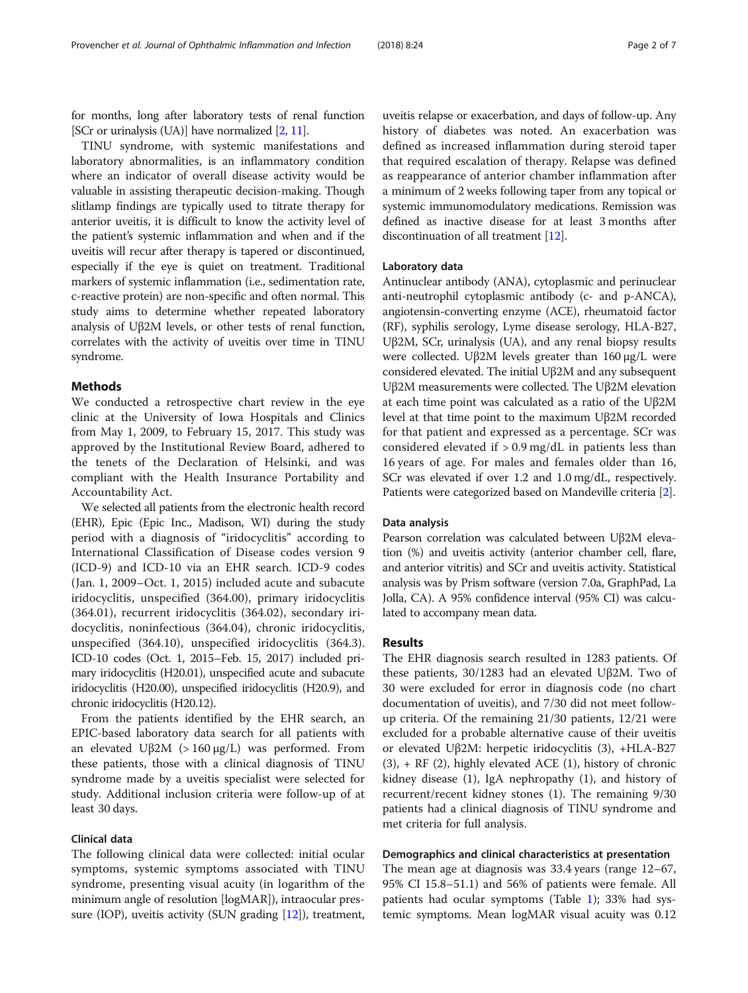for months, long after laboratory tests of renal function [SCr or urinalysis (UA)] have normalized [\[2,](#page-5-0) [11](#page-6-0)].

TINU syndrome, with systemic manifestations and laboratory abnormalities, is an inflammatory condition where an indicator of overall disease activity would be valuable in assisting therapeutic decision-making. Though slitlamp findings are typically used to titrate therapy for anterior uveitis, it is difficult to know the activity level of the patient's systemic inflammation and when and if the uveitis will recur after therapy is tapered or discontinued, especially if the eye is quiet on treatment. Traditional markers of systemic inflammation (i.e., sedimentation rate, c-reactive protein) are non-specific and often normal. This study aims to determine whether repeated laboratory analysis of Uβ2M levels, or other tests of renal function, correlates with the activity of uveitis over time in TINU syndrome.

## Methods

We conducted a retrospective chart review in the eye clinic at the University of Iowa Hospitals and Clinics from May 1, 2009, to February 15, 2017. This study was approved by the Institutional Review Board, adhered to the tenets of the Declaration of Helsinki, and was compliant with the Health Insurance Portability and Accountability Act.

We selected all patients from the electronic health record (EHR), Epic (Epic Inc., Madison, WI) during the study period with a diagnosis of "iridocyclitis" according to International Classification of Disease codes version 9 (ICD-9) and ICD-10 via an EHR search. ICD-9 codes (Jan. 1, 2009–Oct. 1, 2015) included acute and subacute iridocyclitis, unspecified (364.00), primary iridocyclitis (364.01), recurrent iridocyclitis (364.02), secondary iridocyclitis, noninfectious (364.04), chronic iridocyclitis, unspecified (364.10), unspecified iridocyclitis (364.3). ICD-10 codes (Oct. 1, 2015–Feb. 15, 2017) included primary iridocyclitis (H20.01), unspecified acute and subacute iridocyclitis (H20.00), unspecified iridocyclitis (H20.9), and chronic iridocyclitis (H20.12).

From the patients identified by the EHR search, an EPIC-based laboratory data search for all patients with an elevated Uβ2M (> 160 μg/L) was performed. From these patients, those with a clinical diagnosis of TINU syndrome made by a uveitis specialist were selected for study. Additional inclusion criteria were follow-up of at least 30 days.

# Clinical data

The following clinical data were collected: initial ocular symptoms, systemic symptoms associated with TINU syndrome, presenting visual acuity (in logarithm of the minimum angle of resolution [logMAR]), intraocular pressure (IOP), uveitis activity (SUN grading  $[12]$  $[12]$  $[12]$ ), treatment,

uveitis relapse or exacerbation, and days of follow-up. Any history of diabetes was noted. An exacerbation was defined as increased inflammation during steroid taper that required escalation of therapy. Relapse was defined as reappearance of anterior chamber inflammation after a minimum of 2 weeks following taper from any topical or systemic immunomodulatory medications. Remission was defined as inactive disease for at least 3 months after discontinuation of all treatment [[12\]](#page-6-0).

# Laboratory data

Antinuclear antibody (ANA), cytoplasmic and perinuclear anti-neutrophil cytoplasmic antibody (c- and p-ANCA), angiotensin-converting enzyme (ACE), rheumatoid factor (RF), syphilis serology, Lyme disease serology, HLA-B27, Uβ2M, SCr, urinalysis (UA), and any renal biopsy results were collected. Uβ2M levels greater than 160 μg/L were considered elevated. The initial Uβ2M and any subsequent Uβ2M measurements were collected. The Uβ2M elevation at each time point was calculated as a ratio of the Uβ2M level at that time point to the maximum Uβ2M recorded for that patient and expressed as a percentage. SCr was considered elevated if  $> 0.9$  mg/dL in patients less than 16 years of age. For males and females older than 16, SCr was elevated if over 1.2 and 1.0 mg/dL, respectively. Patients were categorized based on Mandeville criteria [\[2\]](#page-5-0).

## Data analysis

Pearson correlation was calculated between Uβ2M elevation (%) and uveitis activity (anterior chamber cell, flare, and anterior vitritis) and SCr and uveitis activity. Statistical analysis was by Prism software (version 7.0a, GraphPad, La Jolla, CA). A 95% confidence interval (95% CI) was calculated to accompany mean data.

# Results

The EHR diagnosis search resulted in 1283 patients. Of these patients, 30/1283 had an elevated Uβ2M. Two of 30 were excluded for error in diagnosis code (no chart documentation of uveitis), and 7/30 did not meet followup criteria. Of the remaining 21/30 patients, 12/21 were excluded for a probable alternative cause of their uveitis or elevated Uβ2M: herpetic iridocyclitis (3), +HLA-B27  $(3)$ , + RF  $(2)$ , highly elevated ACE  $(1)$ , history of chronic kidney disease (1), IgA nephropathy (1), and history of recurrent/recent kidney stones (1). The remaining 9/30 patients had a clinical diagnosis of TINU syndrome and met criteria for full analysis.

# Demographics and clinical characteristics at presentation

The mean age at diagnosis was 33.4 years (range 12–67, 95% CI 15.8–51.1) and 56% of patients were female. All patients had ocular symptoms (Table [1](#page-2-0)); 33% had systemic symptoms. Mean logMAR visual acuity was 0.12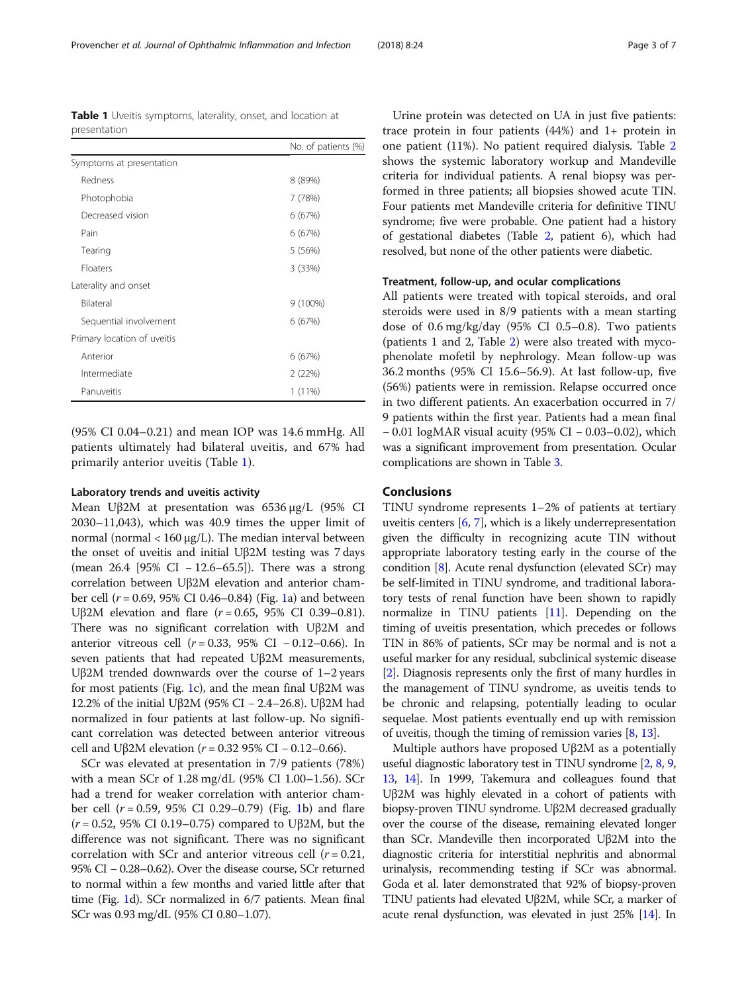(95% CI 0.04–0.21) and mean IOP was 14.6 mmHg. All patients ultimately had bilateral uveitis, and 67% had primarily anterior uveitis (Table 1).

# Laboratory trends and uveitis activity

Mean Uβ2M at presentation was 6536 μg/L (95% CI 2030–11,043), which was 40.9 times the upper limit of normal (normal < 160 μg/L). The median interval between the onset of uveitis and initial Uβ2M testing was 7 days (mean 26.4 [95% CI − 12.6–65.5]). There was a strong correlation between Uβ2M elevation and anterior chamber cell (r = 0.69, 95% CI 0.46–0.84) (Fig. [1](#page-3-0)a) and between Uβ2M elevation and flare ( $r = 0.65$ , 95% CI 0.39–0.81). There was no significant correlation with Uβ2M and anterior vitreous cell (r = 0.33, 95% CI − 0.12–0.66). In seven patients that had repeated Uβ2M measurements, Uβ2M trended downwards over the course of 1–2 years for most patients (Fig. [1](#page-3-0)c), and the mean final Uβ2M was 12.2% of the initial Uβ2M (95% CI − 2.4–26.8). Uβ2M had normalized in four patients at last follow-up. No significant correlation was detected between anterior vitreous cell and Uβ2M elevation ( $r = 0.32$  95% CI − 0.12–0.66).

SCr was elevated at presentation in 7/9 patients (78%) with a mean SCr of 1.28 mg/dL (95% CI 1.00–1.56). SCr had a trend for weaker correlation with anterior chamber cell  $(r = 0.59, 95\% \text{ CI } 0.29 - 0.79)$  (Fig. [1b](#page-3-0)) and flare  $(r = 0.52, 95\% \text{ CI } 0.19 - 0.75)$  compared to Uβ2M, but the difference was not significant. There was no significant correlation with SCr and anterior vitreous cell  $(r = 0.21,$ 95% CI − 0.28–0.62). Over the disease course, SCr returned to normal within a few months and varied little after that time (Fig. [1](#page-3-0)d). SCr normalized in 6/7 patients. Mean final SCr was 0.93 mg/dL (95% CI 0.80–1.07).

Urine protein was detected on UA in just five patients: trace protein in four patients (44%) and 1+ protein in one patient (11%). No patient required dialysis. Table [2](#page-4-0) shows the systemic laboratory workup and Mandeville criteria for individual patients. A renal biopsy was performed in three patients; all biopsies showed acute TIN. Four patients met Mandeville criteria for definitive TINU syndrome; five were probable. One patient had a history of gestational diabetes (Table [2,](#page-4-0) patient 6), which had resolved, but none of the other patients were diabetic.

### Treatment, follow-up, and ocular complications

All patients were treated with topical steroids, and oral steroids were used in 8/9 patients with a mean starting dose of 0.6 mg/kg/day (95% CI 0.5–0.8). Two patients (patients 1 and 2, Table [2\)](#page-4-0) were also treated with mycophenolate mofetil by nephrology. Mean follow-up was 36.2 months (95% CI 15.6–56.9). At last follow-up, five (56%) patients were in remission. Relapse occurred once in two different patients. An exacerbation occurred in 7/ 9 patients within the first year. Patients had a mean final − 0.01 logMAR visual acuity (95% CI − 0.03–0.02), which was a significant improvement from presentation. Ocular complications are shown in Table [3](#page-5-0).

# Conclusions

TINU syndrome represents 1–2% of patients at tertiary uveitis centers [[6,](#page-5-0) [7](#page-5-0)], which is a likely underrepresentation given the difficulty in recognizing acute TIN without appropriate laboratory testing early in the course of the condition [\[8\]](#page-6-0). Acute renal dysfunction (elevated SCr) may be self-limited in TINU syndrome, and traditional laboratory tests of renal function have been shown to rapidly normalize in TINU patients [\[11\]](#page-6-0). Depending on the timing of uveitis presentation, which precedes or follows TIN in 86% of patients, SCr may be normal and is not a useful marker for any residual, subclinical systemic disease [[2\]](#page-5-0). Diagnosis represents only the first of many hurdles in the management of TINU syndrome, as uveitis tends to be chronic and relapsing, potentially leading to ocular sequelae. Most patients eventually end up with remission of uveitis, though the timing of remission varies [\[8,](#page-6-0) [13](#page-6-0)].

Multiple authors have proposed Uβ2M as a potentially useful diagnostic laboratory test in TINU syndrome [\[2,](#page-5-0) [8](#page-6-0), [9](#page-6-0), [13](#page-6-0), [14](#page-6-0)]. In 1999, Takemura and colleagues found that Uβ2M was highly elevated in a cohort of patients with biopsy-proven TINU syndrome. Uβ2M decreased gradually over the course of the disease, remaining elevated longer than SCr. Mandeville then incorporated Uβ2M into the diagnostic criteria for interstitial nephritis and abnormal urinalysis, recommending testing if SCr was abnormal. Goda et al. later demonstrated that 92% of biopsy-proven TINU patients had elevated Uβ2M, while SCr, a marker of acute renal dysfunction, was elevated in just 25% [[14](#page-6-0)]. In

<span id="page-2-0"></span>Table 1 Uveitis symptoms, laterality, onset, and location at presentation

|                             | No. of patients (%) |
|-----------------------------|---------------------|
| Symptoms at presentation    |                     |
| Redness                     | 8 (89%)             |
| Photophobia                 | 7 (78%)             |
| Decreased vision            | 6 (67%)             |
| Pain                        | 6(67%)              |
| Tearing                     | 5 (56%)             |
| <b>Floaters</b>             | 3(33%)              |
| Laterality and onset        |                     |
| Bilateral                   | $9(100\%)$          |
| Sequential involvement      | 6(67%)              |
| Primary location of uveitis |                     |
| Anterior                    | 6(67%)              |
| Intermediate                | 2(22%)              |
| Panuveitis                  | 1 (11%)             |
|                             |                     |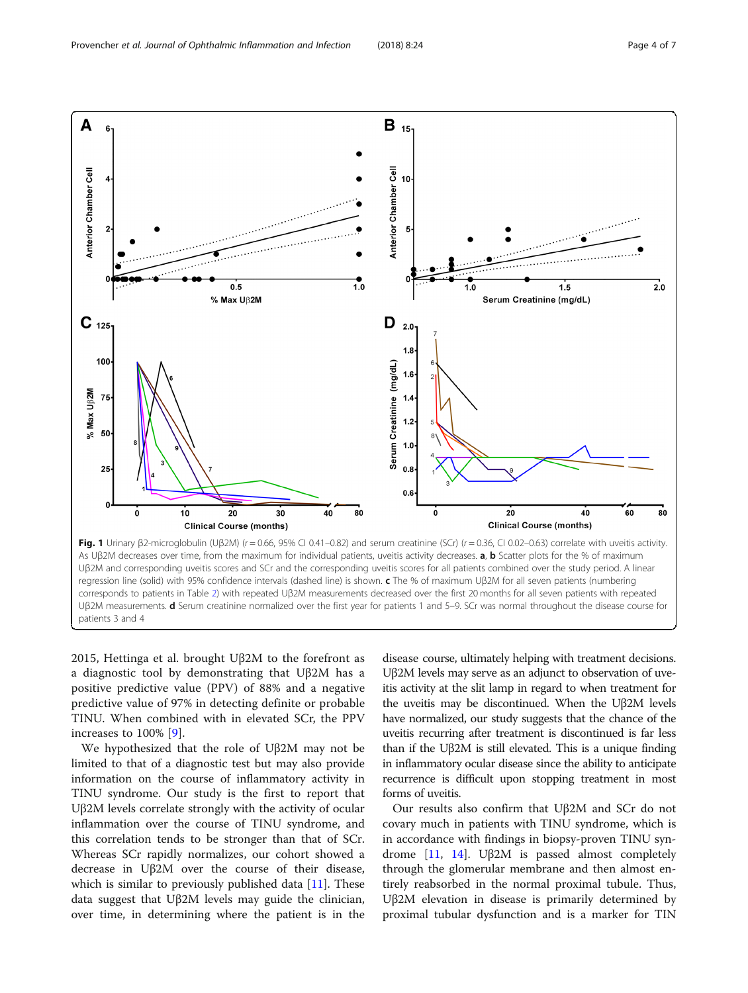<span id="page-3-0"></span>

2015, Hettinga et al. brought Uβ2M to the forefront as a diagnostic tool by demonstrating that Uβ2M has a positive predictive value (PPV) of 88% and a negative predictive value of 97% in detecting definite or probable TINU. When combined with in elevated SCr, the PPV increases to 100% [[9\]](#page-6-0).

We hypothesized that the role of Uβ2M may not be limited to that of a diagnostic test but may also provide information on the course of inflammatory activity in TINU syndrome. Our study is the first to report that Uβ2M levels correlate strongly with the activity of ocular inflammation over the course of TINU syndrome, and this correlation tends to be stronger than that of SCr. Whereas SCr rapidly normalizes, our cohort showed a decrease in Uβ2M over the course of their disease, which is similar to previously published data  $[11]$  $[11]$ . These data suggest that Uβ2M levels may guide the clinician, over time, in determining where the patient is in the

disease course, ultimately helping with treatment decisions. Uβ2M levels may serve as an adjunct to observation of uveitis activity at the slit lamp in regard to when treatment for the uveitis may be discontinued. When the Uβ2M levels have normalized, our study suggests that the chance of the uveitis recurring after treatment is discontinued is far less than if the Uβ2M is still elevated. This is a unique finding in inflammatory ocular disease since the ability to anticipate recurrence is difficult upon stopping treatment in most forms of uveitis.

Our results also confirm that Uβ2M and SCr do not covary much in patients with TINU syndrome, which is in accordance with findings in biopsy-proven TINU syndrome [\[11,](#page-6-0) [14](#page-6-0)]. Uβ2M is passed almost completely through the glomerular membrane and then almost entirely reabsorbed in the normal proximal tubule. Thus, Uβ2M elevation in disease is primarily determined by proximal tubular dysfunction and is a marker for TIN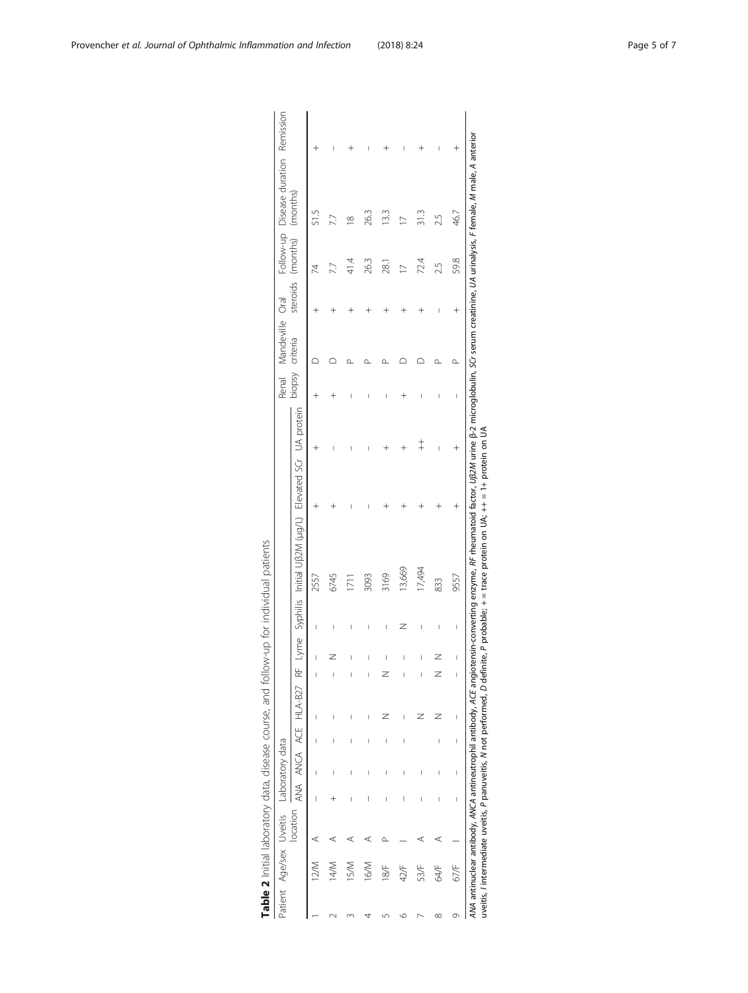<span id="page-4-0"></span>

|   |                         |          |                          |                          |                          |                      |           |                          |   | Table 2 Initial laboratory data, disease course, and follow-up for individual patients                                                                                                                                                                                                                                                                    |            |                          |                  |           |          |                                      |  |
|---|-------------------------|----------|--------------------------|--------------------------|--------------------------|----------------------|-----------|--------------------------|---|-----------------------------------------------------------------------------------------------------------------------------------------------------------------------------------------------------------------------------------------------------------------------------------------------------------------------------------------------------------|------------|--------------------------|------------------|-----------|----------|--------------------------------------|--|
|   | Patient Age/sex Uveitis |          |                          | Laboratory data          |                          |                      |           |                          |   |                                                                                                                                                                                                                                                                                                                                                           |            |                          | Renal Mandeville | Oral      |          | Follow-up Disease duration Remission |  |
|   |                         | location |                          |                          |                          | ana anca ace hla-b27 | $\approx$ |                          |   | Lyme Syphilis Initial UB2M (µg/L) Elevated SCr UA protein                                                                                                                                                                                                                                                                                                 |            | biopsy                   | criteria         | steroids  | (months) | (months)                             |  |
|   | $\lesssim$              | ⋖        | I                        |                          |                          | I                    |           |                          |   | 2557                                                                                                                                                                                                                                                                                                                                                      |            |                          |                  |           |          |                                      |  |
|   | 14/M                    |          |                          |                          |                          | I                    | I         |                          |   | 6745                                                                                                                                                                                                                                                                                                                                                      |            |                          |                  |           |          |                                      |  |
|   | 15/M                    |          |                          |                          |                          |                      |           |                          |   | $\overline{171}$                                                                                                                                                                                                                                                                                                                                          |            |                          |                  |           | 41.<br>प | ∞                                    |  |
|   | 16/M                    |          | I                        |                          |                          |                      |           |                          |   | 3093                                                                                                                                                                                                                                                                                                                                                      |            |                          |                  |           | 263      | 26.3                                 |  |
|   | 18/F                    |          | I                        |                          | I                        |                      | Z         | I                        | I | 3169                                                                                                                                                                                                                                                                                                                                                      |            |                          |                  |           | .<br>28  | 133                                  |  |
| ७ | 42/F                    |          | I                        |                          | I                        |                      |           | Ī                        | z | 13,669                                                                                                                                                                                                                                                                                                                                                    |            |                          |                  |           |          |                                      |  |
|   | 53/F                    | ⊄        |                          |                          |                          |                      |           |                          | I | 17,494                                                                                                                                                                                                                                                                                                                                                    | $\ddagger$ | I                        |                  |           | 724      | 313                                  |  |
| ∞ | 64/F                    | ⋖        | I                        |                          | I                        |                      |           |                          |   | 833                                                                                                                                                                                                                                                                                                                                                       |            |                          |                  |           | 2.5      | 25                                   |  |
| Ō | 67/F                    |          | $\overline{\phantom{a}}$ | $\overline{\phantom{a}}$ | $\overline{\phantom{a}}$ | I                    | I         | $\overline{\phantom{a}}$ | I | 9557                                                                                                                                                                                                                                                                                                                                                      |            | $\overline{\phantom{a}}$ | $\alpha$         | $\ddot{}$ | 59.8     | 46.7                                 |  |
|   |                         |          |                          |                          |                          |                      |           |                          |   | ANA antinudear antibody, ANCA antineutrophil antibody, ACE angiotensin-converting enzyme, AF theumatoid factor, Uß2M urine B-2 microglobulin, SCr serum creatinine, UA urinalysis, F female, M male, A anterior<br>uveitis, l'intermediate uveitis, P panuveitis, N not performed, D definite, P probable; + = trace protein on UA; ++ = 1+ protein on UA |            |                          |                  |           |          |                                      |  |

| i<br>1<br>1                                                                                                  |
|--------------------------------------------------------------------------------------------------------------|
|                                                                                                              |
|                                                                                                              |
|                                                                                                              |
| $\ddot{\phantom{a}}$<br>5                                                                                    |
|                                                                                                              |
| $\frac{1}{2}$                                                                                                |
|                                                                                                              |
|                                                                                                              |
|                                                                                                              |
|                                                                                                              |
|                                                                                                              |
|                                                                                                              |
|                                                                                                              |
|                                                                                                              |
| ī<br>֧֦֧֦֧֦֧֦֧֦֧֦֧֦֧ׅ֧֦֧ׅ֧֦֧ׅ֪֪֪֦֧֦֧֚֬֜֓֜֓֜֓֡                                                                |
|                                                                                                              |
|                                                                                                              |
|                                                                                                              |
|                                                                                                              |
| )<br>)<br>)<br>)<br>)<br>)                                                                                   |
|                                                                                                              |
|                                                                                                              |
|                                                                                                              |
| ׅ֖֚֚֚֚֚֡֡֬֝                                                                                                  |
|                                                                                                              |
|                                                                                                              |
| )<br>)                                                                                                       |
|                                                                                                              |
|                                                                                                              |
|                                                                                                              |
|                                                                                                              |
| ノリリー                                                                                                         |
|                                                                                                              |
|                                                                                                              |
| ֖֖֖ׅ֖֖֖ׅׅׅׅ֪ׅ֖֪ׅ֖֧֪ׅ֖֧֪ׅ֖֚֚֚֚֚֚֚֚֚֚֚֚֚֚֚֚֚֚֚֚֡֡֡֡֡֝֬֝֝֬֝֬֝֓֞֝֬֝֝֝֝֞֝֬֝֞֞֞֝֬֝֞֞֝֝֬֝֞֞֝֬֝֝֞֝֞֝֬֝֝֞֝֬<br>)<br>) |
|                                                                                                              |
|                                                                                                              |
|                                                                                                              |
|                                                                                                              |
|                                                                                                              |
|                                                                                                              |
|                                                                                                              |
|                                                                                                              |
|                                                                                                              |
|                                                                                                              |
|                                                                                                              |
|                                                                                                              |
|                                                                                                              |
|                                                                                                              |
| init<br>$\frac{1}{2}$                                                                                        |
| l                                                                                                            |
|                                                                                                              |
|                                                                                                              |
|                                                                                                              |
|                                                                                                              |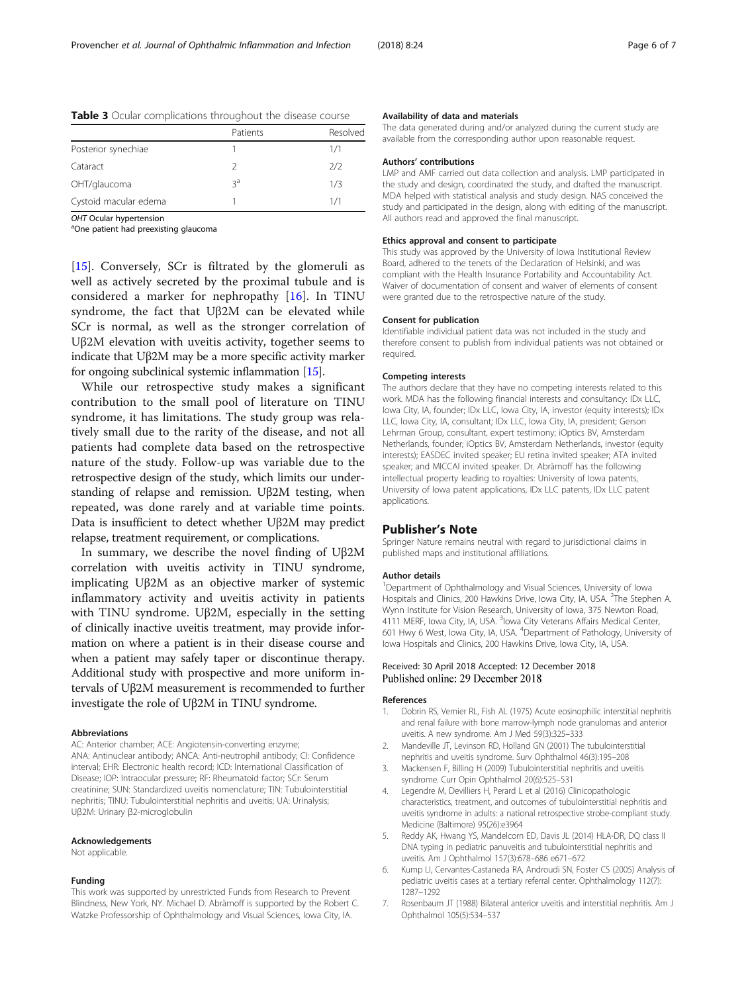|                       | Patients | Resolved |
|-----------------------|----------|----------|
| Posterior synechiae   |          | 1/1      |
| Cataract              |          | 2/2      |
| OHT/glaucoma          | ζg       | 1/3      |
| Cystoid macular edema |          | 1/1      |

<span id="page-5-0"></span>Table 3 Ocular complications throughout the disease course

OHT Ocular hypertension

<sup>a</sup>One patient had preexisting glaucoma

[[15\]](#page-6-0). Conversely, SCr is filtrated by the glomeruli as well as actively secreted by the proximal tubule and is considered a marker for nephropathy [[16\]](#page-6-0). In TINU syndrome, the fact that Uβ2M can be elevated while SCr is normal, as well as the stronger correlation of Uβ2M elevation with uveitis activity, together seems to indicate that Uβ2M may be a more specific activity marker for ongoing subclinical systemic inflammation [\[15\]](#page-6-0).

While our retrospective study makes a significant contribution to the small pool of literature on TINU syndrome, it has limitations. The study group was relatively small due to the rarity of the disease, and not all patients had complete data based on the retrospective nature of the study. Follow-up was variable due to the retrospective design of the study, which limits our understanding of relapse and remission. Uβ2M testing, when repeated, was done rarely and at variable time points. Data is insufficient to detect whether Uβ2M may predict relapse, treatment requirement, or complications.

In summary, we describe the novel finding of Uβ2M correlation with uveitis activity in TINU syndrome, implicating Uβ2M as an objective marker of systemic inflammatory activity and uveitis activity in patients with TINU syndrome. Uβ2M, especially in the setting of clinically inactive uveitis treatment, may provide information on where a patient is in their disease course and when a patient may safely taper or discontinue therapy. Additional study with prospective and more uniform intervals of Uβ2M measurement is recommended to further investigate the role of Uβ2M in TINU syndrome.

#### Abbreviations

AC: Anterior chamber; ACE: Angiotensin-converting enzyme; ANA: Antinuclear antibody; ANCA: Anti-neutrophil antibody; CI: Confidence interval; EHR: Electronic health record; ICD: International Classification of Disease; IOP: Intraocular pressure; RF: Rheumatoid factor; SCr: Serum creatinine; SUN: Standardized uveitis nomenclature; TIN: Tubulointerstitial nephritis; TINU: Tubulointerstitial nephritis and uveitis; UA: Urinalysis; Uβ2M: Urinary β2-microglobulin

#### Acknowledgements

Not applicable.

#### Funding

This work was supported by unrestricted Funds from Research to Prevent Blindness, New York, NY. Michael D. Abràmoff is supported by the Robert C. Watzke Professorship of Ophthalmology and Visual Sciences, Iowa City, IA.

#### Availability of data and materials

The data generated during and/or analyzed during the current study are available from the corresponding author upon reasonable request.

#### Authors' contributions

LMP and AMF carried out data collection and analysis. LMP participated in the study and design, coordinated the study, and drafted the manuscript. MDA helped with statistical analysis and study design. NAS conceived the study and participated in the design, along with editing of the manuscript. All authors read and approved the final manuscript.

#### Ethics approval and consent to participate

This study was approved by the University of Iowa Institutional Review Board, adhered to the tenets of the Declaration of Helsinki, and was compliant with the Health Insurance Portability and Accountability Act. Waiver of documentation of consent and waiver of elements of consent were granted due to the retrospective nature of the study.

#### Consent for publication

Identifiable individual patient data was not included in the study and therefore consent to publish from individual patients was not obtained or required.

#### Competing interests

The authors declare that they have no competing interests related to this work. MDA has the following financial interests and consultancy: IDx LLC, Iowa City, IA, founder; IDx LLC, Iowa City, IA, investor (equity interests); IDx LLC, Iowa City, IA, consultant; IDx LLC, Iowa City, IA, president; Gerson Lehrman Group, consultant, expert testimony; iOptics BV, Amsterdam Netherlands, founder; iOptics BV, Amsterdam Netherlands, investor (equity interests); EASDEC invited speaker; EU retina invited speaker; ATA invited speaker; and MICCAI invited speaker. Dr. Abràmoff has the following intellectual property leading to royalties: University of Iowa patents, University of Iowa patent applications, IDx LLC patents, IDx LLC patent applications.

## Publisher's Note

Springer Nature remains neutral with regard to jurisdictional claims in published maps and institutional affiliations.

#### Author details

<sup>1</sup>Department of Ophthalmology and Visual Sciences, University of Iowa Hospitals and Clinics, 200 Hawkins Drive, Iowa City, IA, USA. <sup>2</sup>The Stephen A. Wynn Institute for Vision Research, University of Iowa, 375 Newton Road, 4111 MERF, Iowa City, IA, USA. <sup>3</sup>Iowa City Veterans Affairs Medical Center, 601 Hwy 6 West, Iowa City, IA, USA. <sup>4</sup> Department of Pathology, University of Iowa Hospitals and Clinics, 200 Hawkins Drive, Iowa City, IA, USA.

## Received: 30 April 2018 Accepted: 12 December 2018 Published online: 29 December 2018

#### References

- 1. Dobrin RS, Vernier RL, Fish AL (1975) Acute eosinophilic interstitial nephritis and renal failure with bone marrow-lymph node granulomas and anterior uveitis. A new syndrome. Am J Med 59(3):325–333
- 2. Mandeville JT, Levinson RD, Holland GN (2001) The tubulointerstitial nephritis and uveitis syndrome. Surv Ophthalmol 46(3):195–208
- 3. Mackensen F, Billing H (2009) Tubulointerstitial nephritis and uveitis syndrome. Curr Opin Ophthalmol 20(6):525–531
- Legendre M, Devilliers H, Perard L et al (2016) Clinicopathologic characteristics, treatment, and outcomes of tubulointerstitial nephritis and uveitis syndrome in adults: a national retrospective strobe-compliant study. Medicine (Baltimore) 95(26):e3964
- 5. Reddy AK, Hwang YS, Mandelcorn ED, Davis JL (2014) HLA-DR, DQ class II DNA typing in pediatric panuveitis and tubulointerstitial nephritis and uveitis. Am J Ophthalmol 157(3):678–686 e671–672
- Kump LI, Cervantes-Castaneda RA, Androudi SN, Foster CS (2005) Analysis of pediatric uveitis cases at a tertiary referral center. Ophthalmology 112(7): 1287–1292
- 7. Rosenbaum JT (1988) Bilateral anterior uveitis and interstitial nephritis. Am J Ophthalmol 105(5):534–537